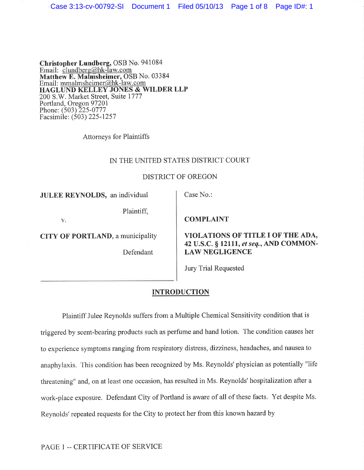Christopher Lundberg, OSB No. 941084<br>Email: clundberg@hk-law.com No.03384 Email: <u>mmalmsheimer@hk-law.com</u> HAGLUND KELLEY JONES & WILDER LLP 200 S.W. Market Street, Suite 1777 Portland, Oregon 97201 Phone: (503)225-0777 Facsimile: (503) 225 -1257

Attorneys for Plaintiffs

#### IN THE UNITED STATES DISTRICT COURT

#### DISTRICT OF OREGON

JULEE REYNOLDS, an individual

Plaintiff,

V,

CITY OF PORTLAND, a municipality

Defendant

Case No.:

**COMPLAINT** 

VIOLATIONS OF TITLE I OF THE ADA, 42 U.S.C. S 12111, et seq., AND COMMON-LAW NEGLIGENCE

Jury Trial Requested

### **INTRODUCTION**

Plaintiff Julee Reynolds suffers from a Multiple Chemical Sensitivity condition that is triggered by scent-bearing products such as perfume and hand lotion. The condition causes her to experience symptoms ranging from respiratory distress, dizziness, headaches, and nausea to anaphylaxis. This condition has been recognized by Ms. Reynolds'physician as potentially "life threatening" and, on at least one occasion, has resulted in Ms. Reynolds' hospitalization after <sup>a</sup> work-place exposure. Defendant City of Portland is aware of all of these facts. Yet despite Ms. Reynolds' repeated requests for the City to protect her from this known hazard by

PAGE 1 -- CERTIFICATE OF SERVICE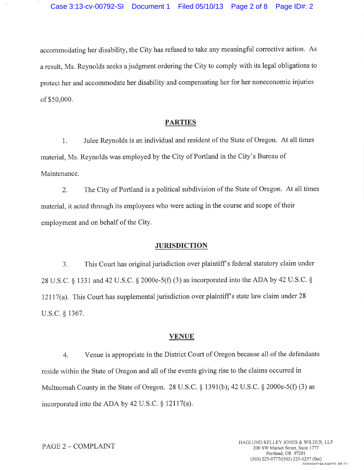accommodating her disability, the City has refused to take any meaningful corrective action. As <sup>a</sup>result, Ms. Reynolds seeks a judgment ordering the City to comply with its legal obligations to protect her and accommodate her disability and compensating her for her noneconomic injuries of \$50,000.

### PARTIES

1. Julee Reynolds is an individual and resident of the State of Oregon. At all times material, Ms. Reynolds was employed by the City of Portland in the City's Bureau of Maintenance.

2. The City of Portland is a political subdivision of the State of Oregon. At all times material, it acted through its employees who were acting in the course and scope of their employment and on behalf of the City.

#### **JURISDICTION**

3. This Court has original jurisdiction over plaintiff s federal statutory claim under 28 U.S.C. § 1331 and 42 U.S.C. § 2000e-5(f) (3) as incorporated into the ADA by 42 U.S.C. § 12117(a). This Court has supplemental jurisdiction over plaintiff s state law claim under 28 u.s.c, \$ 1367.

#### VENUE

4, Venue is appropriate in the District Court of Oregon because all of the defendants reside within the State of Oregon and all of the events giving rise to the claims occurred in Multnomah County in the State of Oregon. 28 U.S.C. § 1391(b); 42 U.S.C. § 2000e-5(f) (3) as incorporated into the ADA by 42 U.S.C. \$ 12117(a).

# PAGE 2 - COMPLAINT

HAGLUND KELLEY JONES & WILDER, LLP 200 SW Market Street, Suite 1777 Portland, OR 97201 (503) 225-0777/(503) 225-1257 (fax) nnnnn RAALIN72 DT N1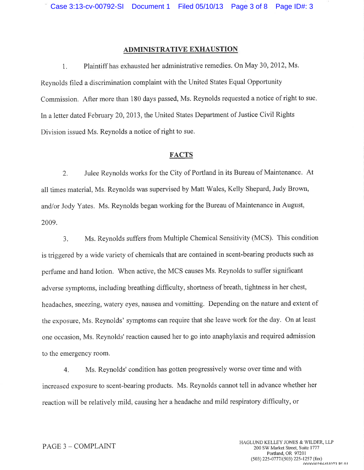### ADMINISTRATIVE EXHAUSTION

1, Plaintiff has exhausted her administrative remedies. On May 30, 2012, Ms. Reynolds filed a discrimination complaint with the United States Equal Opportunity Commission. After more than 180 days passed, Ms. Reynolds requested a notice of right to sue In a letter dated February 20,2013, the United States Department of Justice Civil Rights Division issued Ms. Reynolds a notice of right to sue.

## **FACTS**

2. Julee Reynolds works for the City of Portland in its Bureau of Maintenance. At all times material, Ms, Reynolds was supervised by Matt Wales, Kelly Shepard, Judy Brown, and/or Jody Yates. Ms. Reynolds began working for the Bureau of Maintenance in August, 2009,

3. Ms. Reynolds suffers from Multiple Chemical Sensitivity (MCS). This condition is triggered by a wide variety of chemicals that are contained in scent-bearing products such as perfume and hand lotion. When active, the MCS causes Ms. Reynolds to suffer significant adverse symptoms, including breathing diffrculty, shortness of breath, tightness in her chest, headaches, sneezing, watery eyes, nausea and vomitting. Depending on the nature and extent of the exposure, Ms, Reynolds' symptoms can require that she leave work for the day. On at least one occasion, Ms. Reynolds'reaction caused her to go into anaphylaxis and required admission to the emergency room.

4. Ms. Reynolds' condition has gotten progressively worse over time and with increased exposure to scent-bearing products. Ms. Reynolds cannot tell in advance whether her reaction will be relatively mild, causing her a headache and mild respiratory difficulty, or

#### PAGE 3 - COMPLAINT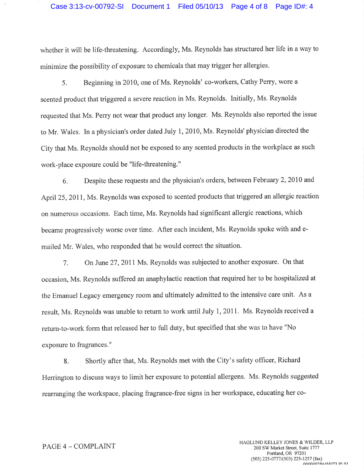## Case 3:13-cv-00792-SI Document 1 Filed 05/10/13 Page 4 of 8 Page ID#: 4

whether it will be life-threatening. Accordingly, Ms. Reynolds has structured her life in a way to minimize the possibility of exposure to chemicals that may trigger her allergies.

5. Beginning in 2010, one of Ms. Reynolds' co-workers, Cathy Perry, wore <sup>a</sup> scented product that triggered a severe reaction in Ms. Reynolds. Initially, Ms. Reynolds requested that Ms. Perry not wear that product any longer. Ms. Reynolds also reported the issue to Mr. 'Wales. In a physician's order dated July 1, 2010, Ms. Reynolds'physician directed the City that Ms. Reynolds should not be exposed to any scented products in the workplace as such work-place exposure could be "life-threatening. "

6. Despite these requests and the physician's orders, between February 2,2010 and April 25, 2011, Ms. Reynolds was exposed to scented products that triggered an allergic reaction on numerous occasions. Each time, Ms. Reynolds had significant allergic reactions, which became progressively worse over time. After each incident, Ms, Reynolds spoke with and emailed Mr. Wales, who responded that he would correct the situation.

7. On June 27,2011 Ms. Reynolds was subjected to another exposure. On that occasion, Ms. Reynolds suffered an anaphylactic reaction that required her to be hospitalized at the Emanuel Legacy emergency room and ultimately admitted to the intensive care unit. As <sup>a</sup> result, Ms. Reynolds was unable to return to work until July 1,2011. Ms, Reynolds received <sup>a</sup> return-to-work form that released her to full duty, but specihed that she was to have "No exposure to fragrances. "

8, Shortly after that, Ms. Reynolds met with the City's safety officer, Richard Herrington to discuss ways to limit her exposure to potential allergens. Ms. Reynolds suggested rearranging the workspace, placing fragrance-free signs in her workspace, educating her co-

#### PAGE 4 - COMPLAINT

HAGLUND KELLEY JONES & WILDER, LLP 200 SW Market Street, Suite 1777 Portland, OR 97201 (503) 225-0777/(503) 225-1257 (fax) n^n^nnî0Á/un72 Dr Al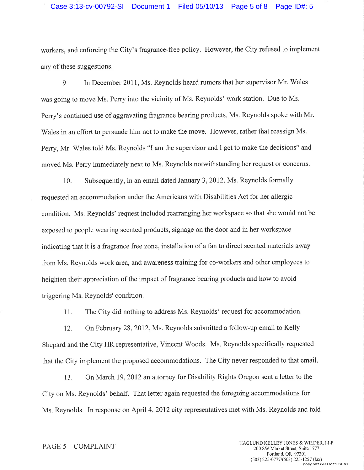# Case 3:13-cv-00792-SI Document 1 Filed 05/10/13 Page 5 of 8 Page ID#: 5

workers, and enforcing the City's fragrance-free policy. Howevet, the City refused to implement any of these suggestions.

9. In December 2011, Ms. Reynolds heard rumors that her supervisor Mr. Wales was going to move Ms. Perry into the vicinity of Ms. Reynolds' work station. Due to Ms. Perry's continued use of aggravating fragrance bearing products, Ms. Reynolds spoke with Mr. Wales in an effort to persuade him not to make the move. However, rather that reassign Ms. Perry, Mr. Wales told Ms. Reynolds "I am the supervisor and I get to make the decisions" and moved Ms. Peny immediately next to Ms. Reynolds notwithstanding her request or concerns.

10. Subsequently, in an email dated January 3,2012, Ms. Reynolds formally requested an accommodation under the Americans with Disabilities Act for her allergic condition. Ms, Reynolds' request included rearranging her workspace so that she would not be exposed to people wearing scented products, signage on the door and in her workspace indicating that it is a fragrance free zone, installation of a fan to direct scented materials away from Ms. Reynolds work area, and awareness training for co-workers and other employees to heighten their appreciation of the impact of fragrance bearing products and how to avoid triggering Ms. Reynolds' condition.

<sup>I</sup>1. The City did nothing to address Ms. Reynolds' request for accommodation.

12. On February 28,2012, Ms. Reynolds submitted a follow-up email to Kelly Shepard and the City HR representative, Vincent Woods. Ms. Reynolds specifically requested that the City implement the proposed accommodations, The City never responded to that email.

13, On March 19,2012 an attorney for Disability Rights Oregon sent a letter to the City on Ms. Reynolds' behalf. That letter again requested the foregoing accommodations for Ms. Reynolds. In response on April 4,2012 city representatives met with Ms. Reynolds and told

#### PAGE 5 - COMPLAINT

HAGLUND KELLEY JONES & WILDER, LLP 200 SV/ Market Street, Suite 1777 Portland, OR 97201 (503) 225-0777/(503) 225-1257 (fax)  $0.000002864H073$  DI 01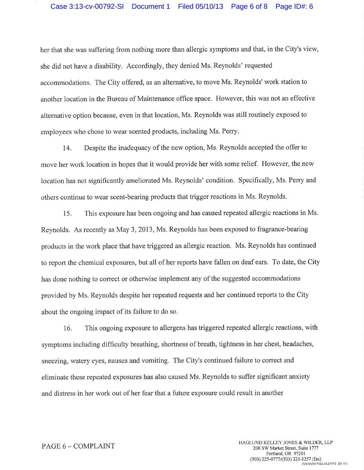# Case 3:13-cv-00792-SI Document 1 Filed 05/10/13 Page 6 of 8 Page ID#: 6

her that she was suffering from nothing more than allergic symptoms and that, in the City's view, she did not have a disability. Accordingly, they denied Ms. Reynolds' requested accommodations. The City offered, as an alternative, to move Ms. Reynolds'work station to another location in the Bureau of Maintenance office space. However, this was not an effective alternative option because, even in that location, Ms. Reynolds was still routinely exposed to employees who chose to wear scented products, including Ms. Perry.

14. Despite the inadequacy of the new option, Ms. Reynolds accepted the offer to move her work location in hopes that it would provide her with some relief. However, the new location has not significantly ameliorated Ms. Reynolds' condition. Specifically, Ms. Perry and others continue to wear scent-bearing products that trigger reactions in Ms. Reynolds,

15. This exposure has been ongoing and has caused repeated allergic reactions in Ms. Reynolds. As recently as May 3,2013, Ms. Reynolds has been exposed to fragrance-bearing products in the work place that have triggered an allergic reaction. Ms. Reynolds has continued to report the chemical exposures, but all of her reports have fallen on deaf ears. To date, the City has done nothing to correct or otherwise implement any of the suggested accommodations provided by Ms. Reynolds despite her repeated requests and her continued reports to the City about the ongoing impact of its failure to do so.

16. This ongoing exposure to allergens has triggered repeated allergic reactions, with symptoms including difficulty breathing, shortness of breath, tightness in her chest, headaches, sneezing, watery eyes, nausea and vomiting. The City's continued failure to correct and eliminate these repeated exposures has also caused Ms. Reynolds to suffer significant anxiety and distress in her work out of her fear that a future exposure could result in another

#### PAGE 6 - COMPLAINT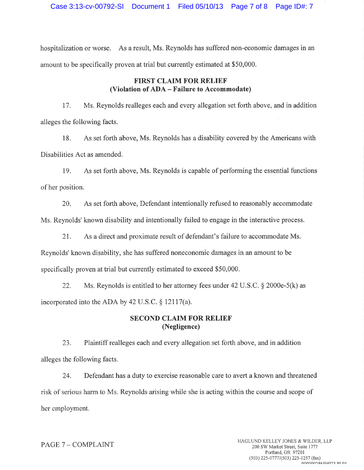hospitalization or worse. As a result, Ms. Reynolds has suffered non-economic damages in an amount to be specifically proven at trial but currently estimated at \$50,000.

## FIRST CLAIM FOR RELIEF (Violation of ADA - Failure to Accommodate)

17. Ms. Reynolds realleges each and every allegation set forth above, and in addition alleges the following facts.

18. As set forth above, Ms. Reynolds has a disability covered by the Americans with Disabilities Act as amended.

19. As set forth above, Ms. Reynolds is capable of performing the essential functions of her position.

20. As set forth above, Defendant intentionally refused to reasonably accommodate Ms. Reynolds' known disability and intentionally failed to engage in the interactive process.

21. As a direct and proximate result of defendant's failure to accommodate Ms. Reynolds' known disability, she has suffered noneconomic damages in an amount to be specifically proven at trial but currently estimated to exceed \$50,000.

22. Ms. Reynolds is entitled to her attorney fees under  $42 \text{ U.S.C.}$  \$ 2000e-5(k) as incorporated into the ADA by 42 U.S.C.  $\S$  12117(a).

# SECOND CLAIM FOR RELIEF (Negligence)

23, Plaintiff realleges each and every allegation set forth above, and in addition alleges the following facts.

24. Defendant has a duty to exercise reasonable care to avert a known and threatened risk of serious harm to Ms. Reynolds arising while she is acting within the course and scope of her employment.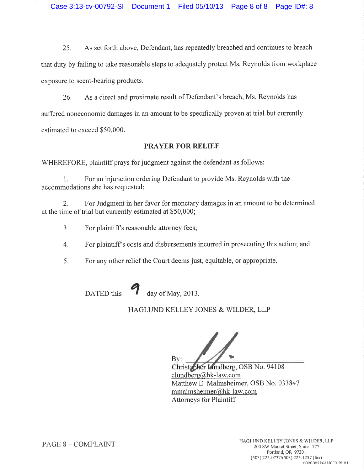25. As set forth above, Defendant, has repeatedly breached and continues to breach that duty by failing to take reasonable steps to adequately protect Ms. Reynolds from workplace exposure to scent-bearing products.

26. As a direct and proximate result of Defendant's breach, Ms. Reynolds has suffered noneconomic damages in an amount to be specifically proven at trial but currently estimated to exceed \$50,000.

# PRAYER FOR RELIEF

WHEREFORE, plaintiff prays for judgment against the defendant as follows:

1. For an injunction ordering Defendant to provide Ms. Reynolds with the accommodations she has requested;

2. For Judgment in her favor for monetary damages in an amount to be determined at the time of trial but currently estimated at \$50,000;

- For plaintiff's reasonable attorney fees; a J.
- For plaintiff's costs and disbursements incurred in prosecuting this action; and 4.
- 5. For any other relief the Court deems just, equitable, or appropriate.

DATED this  $\frac{4}{\sqrt{2}}$  day of May, 2013.

# HAGLUND KELLEY JONES & WILDER, LLP

 $\mathbf{B} \mathbf{v}$ :

Christopher Lundberg, OSB No. 94108 clundberg@hk-law.com Matthew E. Malmsheimer, OSB No. 033847 mmalmsheimer@hk-law. com Attorneys for Plaintiff